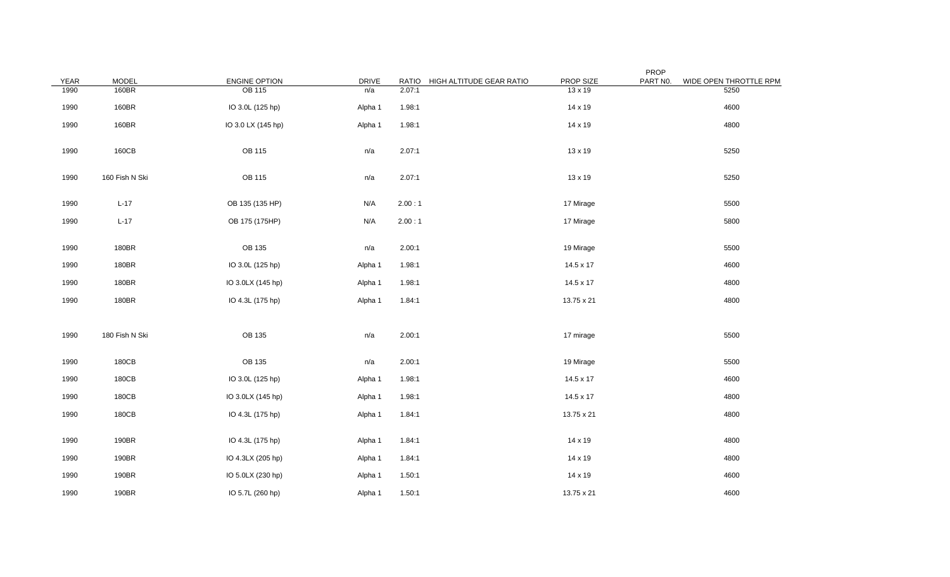| YEAR | <b>MODEL</b>   | ENGINE OPTION      | <b>DRIVE</b> | <b>RATIO</b> | HIGH ALTITUDE GEAR RATIO | PROP SIZE      | PROP<br>PART NO. | WIDE OPEN THROTTLE RPM |
|------|----------------|--------------------|--------------|--------------|--------------------------|----------------|------------------|------------------------|
| 1990 | 160BR          | <b>OB 115</b>      | n/a          | 2.07:1       |                          | $13 \times 19$ |                  | 5250                   |
| 1990 | 160BR          | IO 3.0L (125 hp)   | Alpha 1      | 1.98:1       |                          | 14 x 19        |                  | 4600                   |
| 1990 | 160BR          | IO 3.0 LX (145 hp) | Alpha 1      | 1.98:1       |                          | 14 x 19        |                  | 4800                   |
| 1990 | 160CB          | OB 115             | n/a          | 2.07:1       |                          | 13 x 19        |                  | 5250                   |
| 1990 | 160 Fish N Ski | <b>OB 115</b>      | n/a          | 2.07:1       |                          | 13 x 19        |                  | 5250                   |
| 1990 | $L-17$         | OB 135 (135 HP)    | N/A          | 2.00:1       |                          | 17 Mirage      |                  | 5500                   |
| 1990 | $L-17$         | OB 175 (175HP)     | N/A          | 2.00:1       |                          | 17 Mirage      |                  | 5800                   |
| 1990 | 180BR          | OB 135             | n/a          | 2.00:1       |                          | 19 Mirage      |                  | 5500                   |
| 1990 | 180BR          | IO 3.0L (125 hp)   | Alpha 1      | 1.98:1       |                          | 14.5 x 17      |                  | 4600                   |
| 1990 | 180BR          | IO 3.0LX (145 hp)  | Alpha 1      | 1.98:1       |                          | 14.5 x 17      |                  | 4800                   |
| 1990 | 180BR          | IO 4.3L (175 hp)   | Alpha 1      | 1.84:1       |                          | 13.75 x 21     |                  | 4800                   |
|      |                |                    |              |              |                          |                |                  |                        |
| 1990 | 180 Fish N Ski | OB 135             | n/a          | 2.00:1       |                          | 17 mirage      |                  | 5500                   |
| 1990 | 180CB          | OB 135             | n/a          | 2.00:1       |                          | 19 Mirage      |                  | 5500                   |
| 1990 | 180CB          | IO 3.0L (125 hp)   | Alpha 1      | 1.98:1       |                          | 14.5 x 17      |                  | 4600                   |
| 1990 | 180CB          | IO 3.0LX (145 hp)  | Alpha 1      | 1.98:1       |                          | 14.5 x 17      |                  | 4800                   |
| 1990 | 180CB          | IO 4.3L (175 hp)   | Alpha 1      | 1.84:1       |                          | 13.75 x 21     |                  | 4800                   |
| 1990 | 190BR          | IO 4.3L (175 hp)   | Alpha 1      | 1.84:1       |                          | 14 x 19        |                  | 4800                   |
| 1990 | 190BR          | IO 4.3LX (205 hp)  | Alpha 1      | 1.84:1       |                          | 14 x 19        |                  | 4800                   |
| 1990 | 190BR          | IO 5.0LX (230 hp)  | Alpha 1      | 1.50:1       |                          | 14 x 19        |                  | 4600                   |
| 1990 | 190BR          | IO 5.7L (260 hp)   | Alpha 1      | 1.50:1       |                          | 13.75 x 21     |                  | 4600                   |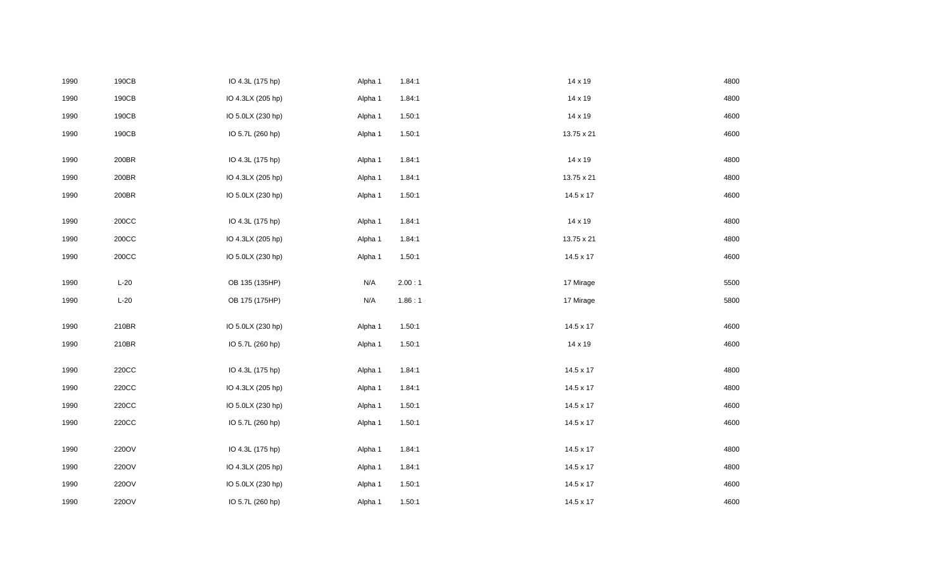|      | 190CB            | IO 4.3L (175 hp)  | Alpha 1 | 1.84:1 | 14 x 19          | 4800 |
|------|------------------|-------------------|---------|--------|------------------|------|
| 1990 | 190CB            | IO 4.3LX (205 hp) | Alpha 1 | 1.84:1 | 14 x 19          | 4800 |
| 1990 | 190CB            | IO 5.0LX (230 hp) | Alpha 1 | 1.50:1 | 14 x 19          | 4600 |
| 1990 | 190CB            | IO 5.7L (260 hp)  | Alpha 1 | 1.50:1 | 13.75 x 21       | 4600 |
|      |                  |                   |         |        |                  |      |
| 1990 | 200BR            | IO 4.3L (175 hp)  | Alpha 1 | 1.84:1 | 14 x 19          | 4800 |
| 1990 | 200BR            | IO 4.3LX (205 hp) | Alpha 1 | 1.84:1 | 13.75 x 21       | 4800 |
| 1990 | 200BR            | IO 5.0LX (230 hp) | Alpha 1 | 1.50:1 | 14.5 x 17        | 4600 |
|      |                  |                   |         |        |                  |      |
| 1990 | $200\mathrm{CC}$ | IO 4.3L (175 hp)  | Alpha 1 | 1.84:1 | 14 x 19          | 4800 |
| 1990 | $200\mathrm{CC}$ | IO 4.3LX (205 hp) | Alpha 1 | 1.84:1 | 13.75 x 21       | 4800 |
| 1990 | $200\mathrm{CC}$ | IO 5.0LX (230 hp) | Alpha 1 | 1.50:1 | 14.5 x 17        | 4600 |
| 1990 | $L-20$           | OB 135 (135HP)    | N/A     | 2.00:1 | 17 Mirage        | 5500 |
|      |                  |                   |         |        |                  |      |
| 1990 | $L-20$           | OB 175 (175HP)    | N/A     | 1.86:1 | 17 Mirage        | 5800 |
|      |                  |                   |         |        |                  |      |
| 1990 | 210BR            | IO 5.0LX (230 hp) | Alpha 1 | 1.50:1 | 14.5 x 17        | 4600 |
| 1990 | 210BR            | IO 5.7L (260 hp)  | Alpha 1 | 1.50:1 | 14 x 19          | 4600 |
|      |                  |                   |         |        |                  |      |
| 1990 | 220CC            | IO 4.3L (175 hp)  | Alpha 1 | 1.84:1 | $14.5 \times 17$ | 4800 |
| 1990 | 220CC            | IO 4.3LX (205 hp) | Alpha 1 | 1.84:1 | $14.5 \times 17$ | 4800 |
| 1990 | 220CC            | IO 5.0LX (230 hp) | Alpha 1 | 1.50:1 | 14.5 x 17        | 4600 |
| 1990 | 220CC            | IO 5.7L (260 hp)  | Alpha 1 | 1.50:1 | 14.5 x 17        | 4600 |
|      |                  |                   |         |        |                  |      |
| 1990 | 220OV            | IO 4.3L (175 hp)  | Alpha 1 | 1.84:1 | 14.5 x 17        | 4800 |
| 1990 | 220OV            | IO 4.3LX (205 hp) | Alpha 1 | 1.84:1 | $14.5 \times 17$ | 4800 |
| 1990 | 220OV            | IO 5.0LX (230 hp) | Alpha 1 | 1.50:1 | 14.5 x 17        | 4600 |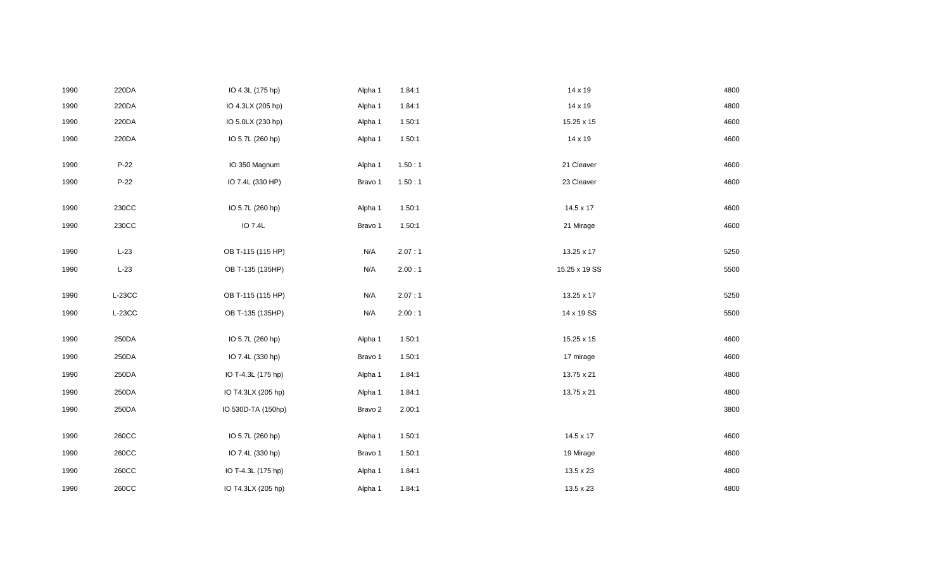| 1990 | 220DA    | IO 4.3L (175 hp)   | Alpha 1 | 1.84:1 | 14 x 19          | 4800 |
|------|----------|--------------------|---------|--------|------------------|------|
| 1990 | 220DA    | IO 4.3LX (205 hp)  | Alpha 1 | 1.84:1 | 14 x 19          | 4800 |
| 1990 | 220DA    | IO 5.0LX (230 hp)  | Alpha 1 | 1.50:1 | 15.25 x 15       | 4600 |
| 1990 | 220DA    | IO 5.7L (260 hp)   | Alpha 1 | 1.50:1 | 14 x 19          | 4600 |
|      |          |                    |         |        |                  |      |
| 1990 | P-22     | IO 350 Magnum      | Alpha 1 | 1.50:1 | 21 Cleaver       | 4600 |
| 1990 | P-22     | IO 7.4L (330 HP)   | Bravo 1 | 1.50:1 | 23 Cleaver       | 4600 |
| 1990 | 230CC    | IO 5.7L (260 hp)   | Alpha 1 | 1.50:1 | $14.5 \times 17$ | 4600 |
| 1990 | 230CC    | IO 7.4L            | Bravo 1 | 1.50:1 | 21 Mirage        | 4600 |
|      |          |                    |         |        |                  |      |
| 1990 | $L-23$   | OB T-115 (115 HP)  | N/A     | 2.07:1 | 13.25 x 17       | 5250 |
| 1990 | $L-23$   | OB T-135 (135HP)   | N/A     | 2.00:1 | 15.25 x 19 SS    | 5500 |
|      |          |                    |         |        |                  |      |
| 1990 | $L-23CC$ | OB T-115 (115 HP)  | N/A     | 2.07:1 | 13.25 x 17       | 5250 |
| 1990 | $L-23CC$ | OB T-135 (135HP)   | N/A     | 2.00:1 | 14 x 19 SS       | 5500 |
| 1990 | 250DA    | IO 5.7L (260 hp)   | Alpha 1 | 1.50:1 | 15.25 x 15       | 4600 |
| 1990 | 250DA    | IO 7.4L (330 hp)   | Bravo 1 | 1.50:1 | 17 mirage        | 4600 |
|      |          |                    |         |        |                  |      |
| 1990 | 250DA    | IO T-4.3L (175 hp) | Alpha 1 | 1.84:1 | 13.75 x 21       | 4800 |
| 1990 | 250DA    | IO T4.3LX (205 hp) | Alpha 1 | 1.84:1 | 13.75 x 21       | 4800 |
| 1990 | 250DA    | IO 530D-TA (150hp) | Bravo 2 | 2.00:1 |                  | 3800 |
|      |          |                    |         |        |                  |      |
| 1990 | 260CC    | IO 5.7L (260 hp)   | Alpha 1 | 1.50:1 | 14.5 x 17        | 4600 |
| 1990 | 260CC    | IO 7.4L (330 hp)   | Bravo 1 | 1.50:1 | 19 Mirage        | 4600 |
| 1990 | 260CC    | IO T-4.3L (175 hp) | Alpha 1 | 1.84:1 | 13.5 x 23        | 4800 |
| 1990 | 260CC    | IO T4.3LX (205 hp) | Alpha 1 | 1.84:1 | 13.5 x 23        | 4800 |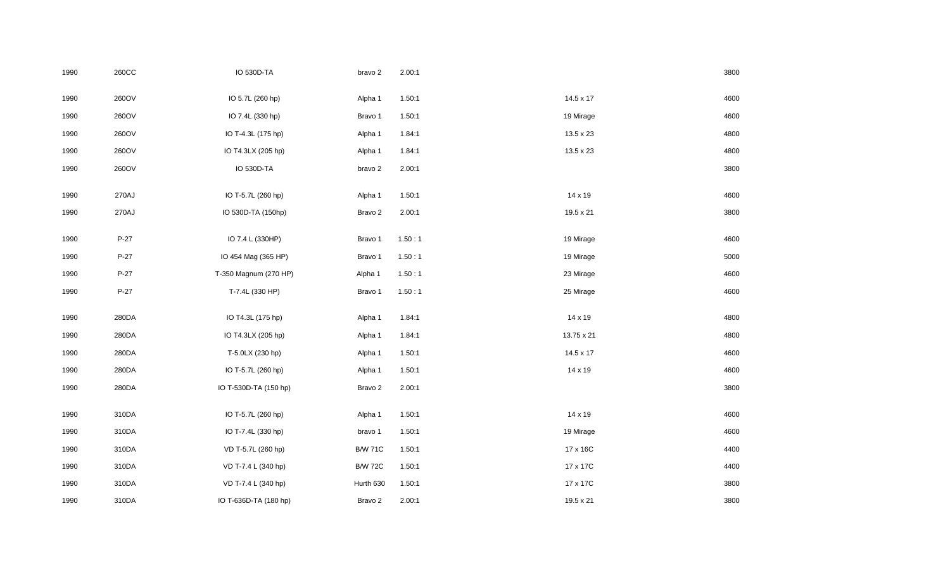| 1990 | 260CC  | <b>IO 530D-TA</b>     | bravo 2        | 2.00:1 |            | 3800 |
|------|--------|-----------------------|----------------|--------|------------|------|
| 1990 | 260OV  | IO 5.7L (260 hp)      | Alpha 1        | 1.50:1 | 14.5 x 17  | 4600 |
| 1990 | 260OV  | IO 7.4L (330 hp)      | Bravo 1        | 1.50:1 | 19 Mirage  | 4600 |
| 1990 | 260OV  | IO T-4.3L (175 hp)    | Alpha 1        | 1.84:1 | 13.5 x 23  | 4800 |
| 1990 | 260OV  | IO T4.3LX (205 hp)    | Alpha 1        | 1.84:1 | 13.5 x 23  | 4800 |
| 1990 | 260OV  | IO 530D-TA            | bravo 2        | 2.00:1 |            | 3800 |
|      |        |                       |                |        |            |      |
| 1990 | 270AJ  | IO T-5.7L (260 hp)    | Alpha 1        | 1.50:1 | 14 x 19    | 4600 |
| 1990 | 270AJ  | IO 530D-TA (150hp)    | Bravo 2        | 2.00:1 | 19.5 x 21  | 3800 |
| 1990 | $P-27$ | IO 7.4 L (330HP)      | Bravo 1        | 1.50:1 | 19 Mirage  | 4600 |
| 1990 | $P-27$ | IO 454 Mag (365 HP)   | Bravo 1        | 1.50:1 | 19 Mirage  | 5000 |
|      |        |                       |                |        |            |      |
| 1990 | $P-27$ | T-350 Magnum (270 HP) | Alpha 1        | 1.50:1 | 23 Mirage  | 4600 |
| 1990 | $P-27$ | T-7.4L (330 HP)       | Bravo 1        | 1.50:1 | 25 Mirage  | 4600 |
|      |        |                       |                |        |            |      |
| 1990 | 280DA  | IO T4.3L (175 hp)     | Alpha 1        | 1.84:1 | 14 x 19    | 4800 |
| 1990 | 280DA  | IO T4.3LX (205 hp)    | Alpha 1        | 1.84:1 | 13.75 x 21 | 4800 |
| 1990 | 280DA  | T-5.0LX (230 hp)      | Alpha 1        | 1.50:1 | 14.5 x 17  | 4600 |
| 1990 | 280DA  | IO T-5.7L (260 hp)    | Alpha 1        | 1.50:1 | 14 x 19    | 4600 |
| 1990 | 280DA  | IO T-530D-TA (150 hp) | Bravo 2        | 2.00:1 |            | 3800 |
|      |        |                       |                |        |            |      |
| 1990 | 310DA  | IO T-5.7L (260 hp)    | Alpha 1        | 1.50:1 | 14 x 19    | 4600 |
| 1990 | 310DA  | IO T-7.4L (330 hp)    | bravo 1        | 1.50:1 | 19 Mirage  | 4600 |
| 1990 | 310DA  | VD T-5.7L (260 hp)    | <b>B/W 71C</b> | 1.50:1 | 17 x 16C   | 4400 |
| 1990 | 310DA  | VD T-7.4 L (340 hp)   | <b>B/W 72C</b> | 1.50:1 | 17 x 17C   | 4400 |
| 1990 | 310DA  | VD T-7.4 L (340 hp)   | Hurth 630      | 1.50:1 | 17 x 17C   | 3800 |
| 1990 | 310DA  | IO T-636D-TA (180 hp) | Bravo 2        | 2.00:1 | 19.5 x 21  | 3800 |